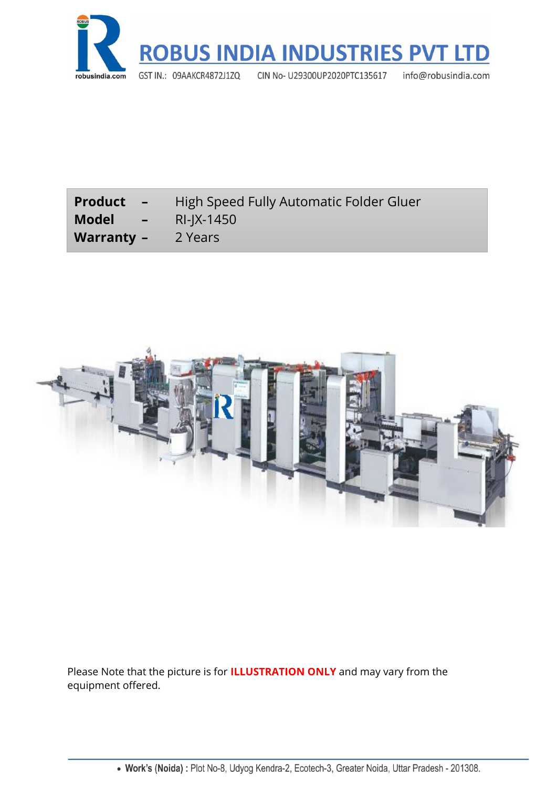

| <b>Product</b><br>$\sim$ $\sim$ | High Speed Fully Automatic Folder Gluer |
|---------------------------------|-----------------------------------------|
| Model<br>$\sim$ $\sim$ $\sim$   | RI-IX-1450                              |
| <b>Warranty -</b>               | 2 Years                                 |



Please Note that the picture is for **ILLUSTRATION ONLY** and may vary from the equipment offered.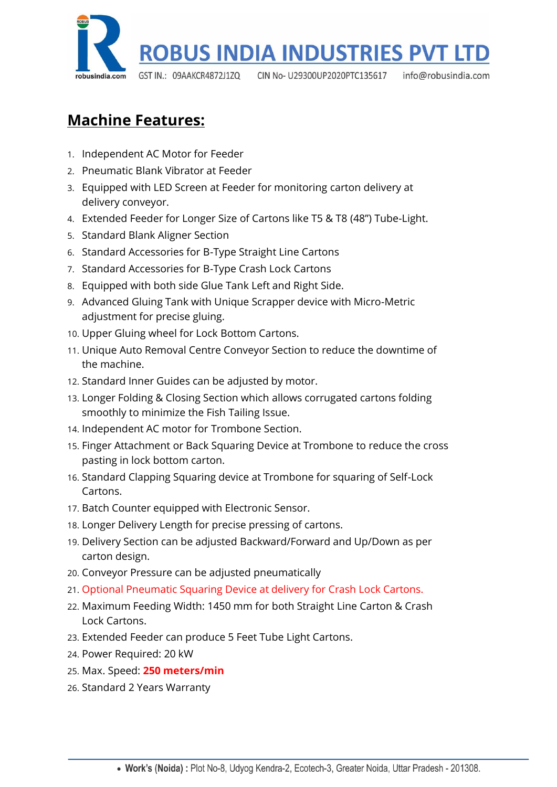

# **Machine Features:**

- 1. Independent AC Motor for Feeder
- 2. Pneumatic Blank Vibrator at Feeder
- 3. Equipped with LED Screen at Feeder for monitoring carton delivery at delivery conveyor.
- 4. Extended Feeder for Longer Size of Cartons like T5 & T8 (48") Tube-Light.
- 5. Standard Blank Aligner Section
- 6. Standard Accessories for B-Type Straight Line Cartons
- 7. Standard Accessories for B-Type Crash Lock Cartons
- 8. Equipped with both side Glue Tank Left and Right Side.
- 9. Advanced Gluing Tank with Unique Scrapper device with Micro-Metric adjustment for precise gluing.
- 10. Upper Gluing wheel for Lock Bottom Cartons.
- 11. Unique Auto Removal Centre Conveyor Section to reduce the downtime of the machine.
- 12. Standard Inner Guides can be adjusted by motor.
- 13. Longer Folding & Closing Section which allows corrugated cartons folding smoothly to minimize the Fish Tailing Issue.
- 14. Independent AC motor for Trombone Section.
- 15. Finger Attachment or Back Squaring Device at Trombone to reduce the cross pasting in lock bottom carton.
- 16. Standard Clapping Squaring device at Trombone for squaring of Self-Lock Cartons.
- 17. Batch Counter equipped with Electronic Sensor.
- 18. Longer Delivery Length for precise pressing of cartons.
- 19. Delivery Section can be adjusted Backward/Forward and Up/Down as per carton design.
- 20. Conveyor Pressure can be adjusted pneumatically
- 21. Optional Pneumatic Squaring Device at delivery for Crash Lock Cartons.
- 22. Maximum Feeding Width: 1450 mm for both Straight Line Carton & Crash Lock Cartons.
- 23. Extended Feeder can produce 5 Feet Tube Light Cartons.
- 24. Power Required: 20 kW
- 25. Max. Speed: **250 meters/min**
- 26. Standard 2 Years Warranty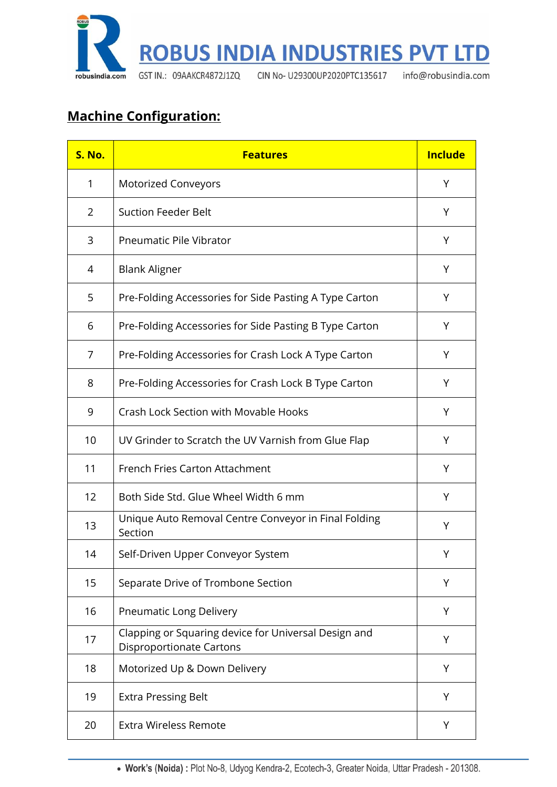

# **Machine Configuration:**

| <b>S. No.</b> | <b>Features</b>                                                                         | <b>Include</b> |
|---------------|-----------------------------------------------------------------------------------------|----------------|
| 1             | <b>Motorized Conveyors</b>                                                              | Y              |
| 2             | <b>Suction Feeder Belt</b>                                                              | Υ              |
| 3             | <b>Pneumatic Pile Vibrator</b>                                                          | Y              |
| 4             | <b>Blank Aligner</b>                                                                    | Υ              |
| 5             | Pre-Folding Accessories for Side Pasting A Type Carton                                  | Y              |
| 6             | Pre-Folding Accessories for Side Pasting B Type Carton                                  | Υ              |
| 7             | Pre-Folding Accessories for Crash Lock A Type Carton                                    | Y              |
| 8             | Pre-Folding Accessories for Crash Lock B Type Carton                                    | Y              |
| 9             | <b>Crash Lock Section with Movable Hooks</b>                                            | Υ              |
| 10            | UV Grinder to Scratch the UV Varnish from Glue Flap                                     | Y              |
| 11            | French Fries Carton Attachment                                                          | Υ              |
| 12            | Both Side Std. Glue Wheel Width 6 mm                                                    | Y              |
| 13            | Unique Auto Removal Centre Conveyor in Final Folding<br>Section                         | Υ              |
| 14            | Self-Driven Upper Conveyor System                                                       | Υ              |
| 15            | Separate Drive of Trombone Section                                                      | Υ              |
| 16            | Pneumatic Long Delivery                                                                 | Υ              |
| 17            | Clapping or Squaring device for Universal Design and<br><b>Disproportionate Cartons</b> | Υ              |
| 18            | Motorized Up & Down Delivery                                                            | Υ              |
| 19            | <b>Extra Pressing Belt</b>                                                              | Y              |
| 20            | <b>Extra Wireless Remote</b>                                                            | Υ              |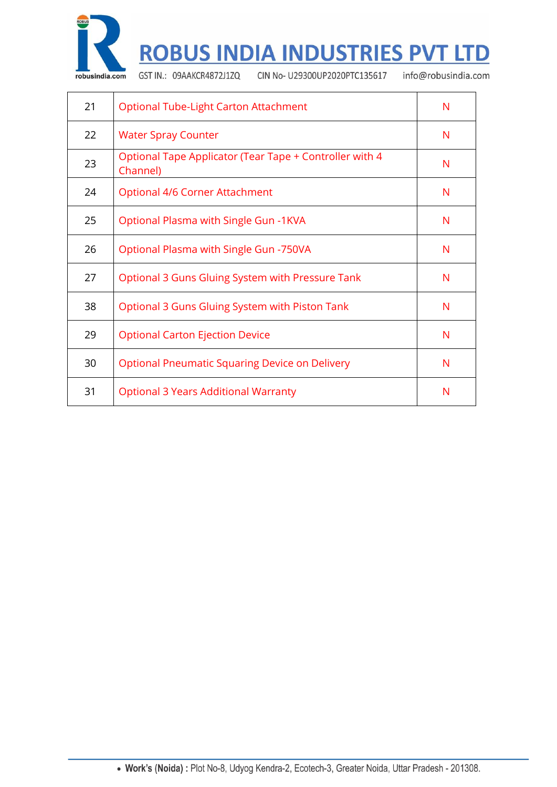

# **ROBUS INDIA INDUSTRIES PVT LTD**

GST IN.: 09AAKCR4872J1ZQ

CIN No- U29300UP2020PTC135617

info@robusindia.com

| 21 | Optional Tube-Light Carton Attachment                               | N |
|----|---------------------------------------------------------------------|---|
| 22 | <b>Water Spray Counter</b>                                          | N |
| 23 | Optional Tape Applicator (Tear Tape + Controller with 4<br>Channel) | N |
| 24 | Optional 4/6 Corner Attachment                                      | N |
| 25 | Optional Plasma with Single Gun -1KVA                               | N |
| 26 | Optional Plasma with Single Gun -750VA                              | N |
| 27 | Optional 3 Guns Gluing System with Pressure Tank                    | N |
| 38 | Optional 3 Guns Gluing System with Piston Tank                      | N |
| 29 | <b>Optional Carton Ejection Device</b>                              | N |
| 30 | <b>Optional Pneumatic Squaring Device on Delivery</b>               | N |
| 31 | <b>Optional 3 Years Additional Warranty</b>                         | N |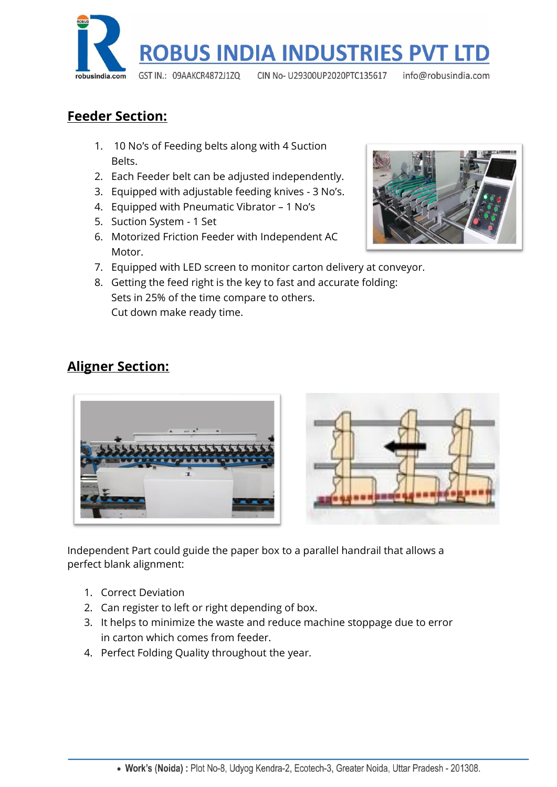

#### **Feeder Section:**

- 1. 10 No's of Feeding belts along with 4 Suction Belts.
- 2. Each Feeder belt can be adjusted independently.
- 3. Equipped with adjustable feeding knives 3 No's.
- 4. Equipped with Pneumatic Vibrator 1 No's
- 5. Suction System 1 Set
- 6. Motorized Friction Feeder with Independent AC Motor.
- 7. Equipped with LED screen to monitor carton delivery at conveyor.
- 8. Getting the feed right is the key to fast and accurate folding: Sets in 25% of the time compare to others. Cut down make ready time.

# **Aligner Section:**



Independent Part could guide the paper box to a parallel handrail that allows a perfect blank alignment:

- 1. Correct Deviation
- 2. Can register to left or right depending of box.
- 3. It helps to minimize the waste and reduce machine stoppage due to error in carton which comes from feeder.
- 4. Perfect Folding Quality throughout the year.

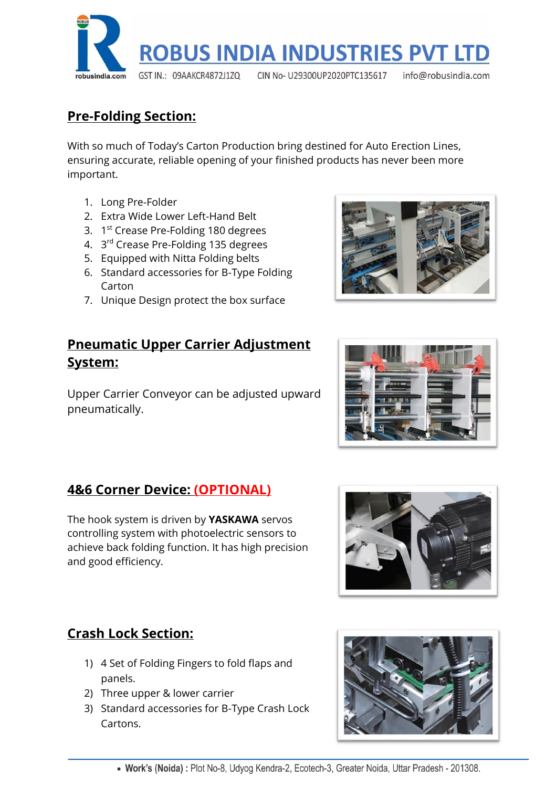

#### **Pre-Folding Section:**

With so much of Today's Carton Production bring destined for Auto Erection Lines, ensuring accurate, reliable opening of your finished products has never been more important.

- 1. Long Pre-Folder
- 2. Extra Wide Lower Left-Hand Belt
- 3. 1<sup>st</sup> Crease Pre-Folding 180 degrees
- 4. 3<sup>rd</sup> Crease Pre-Folding 135 degrees
- 5. Equipped with Nitta Folding belts
- 6. Standard accessories for B-Type Folding Carton
- 7. Unique Design protect the box surface

#### **Pneumatic Upper Carrier Adjustment System:**

Upper Carrier Conveyor can be adjusted upward pneumatically.

# **4&6 Corner Device: (OPTIONAL)**

The hook system is driven by **YASKAWA** servos controlling system with photoelectric sensors to achieve back folding function. It has high precision and good efficiency.



#### **Crash Lock Section:**

- 1) 4 Set of Folding Fingers to fold flaps and panels.
- 2) Three upper & lower carrier
- 3) Standard accessories for B-Type Crash Lock Cartons.





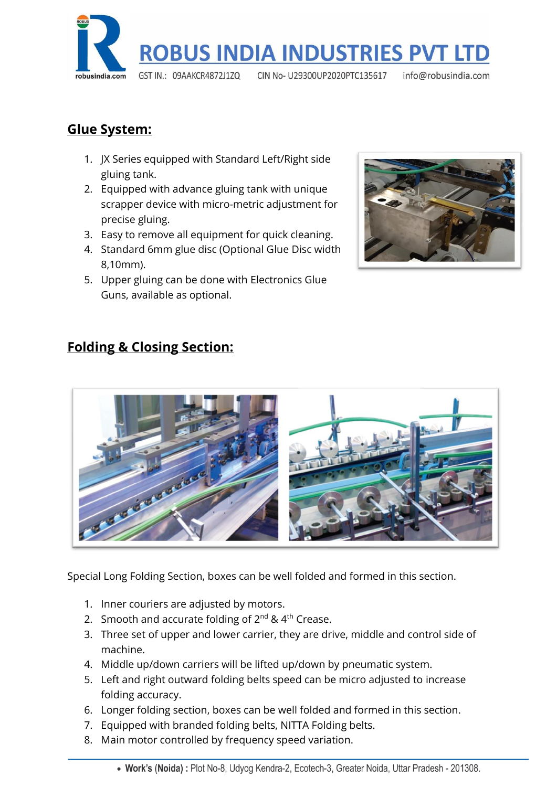

#### **Glue System:**

- 1. JX Series equipped with Standard Left/Right side gluing tank.
- 2. Equipped with advance gluing tank with unique scrapper device with micro-metric adjustment for precise gluing.
- 3. Easy to remove all equipment for quick cleaning.
- 4. Standard 6mm glue disc (Optional Glue Disc width 8,10mm).
- 5. Upper gluing can be done with Electronics Glue Guns, available as optional.



# **Folding & Closing Section:**



Special Long Folding Section, boxes can be well folded and formed in this section.

- 1. Inner couriers are adjusted by motors.
- 2. Smooth and accurate folding of  $2^{nd}$  &  $4^{th}$  Crease.
- 3. Three set of upper and lower carrier, they are drive, middle and control side of machine.
- 4. Middle up/down carriers will be lifted up/down by pneumatic system.
- 5. Left and right outward folding belts speed can be micro adjusted to increase folding accuracy.
- 6. Longer folding section, boxes can be well folded and formed in this section.
- 7. Equipped with branded folding belts, NITTA Folding belts.
- 8. Main motor controlled by frequency speed variation.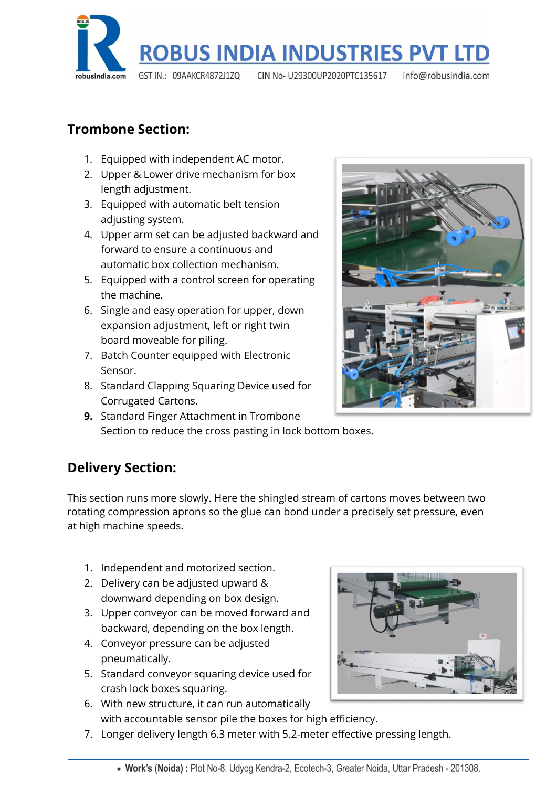

### **Trombone Section:**

- 1. Equipped with independent AC motor.
- 2. Upper & Lower drive mechanism for box length adjustment.
- 3. Equipped with automatic belt tension adjusting system.
- 4. Upper arm set can be adjusted backward and forward to ensure a continuous and automatic box collection mechanism.
- 5. Equipped with a control screen for operating the machine.
- 6. Single and easy operation for upper, down expansion adjustment, left or right twin board moveable for piling.
- 7. Batch Counter equipped with Electronic Sensor.
- 8. Standard Clapping Squaring Device used for Corrugated Cartons.
- **9.** Standard Finger Attachment in Trombone Section to reduce the cross pasting in lock bottom boxes.



# **Delivery Section:**

This section runs more slowly. Here the shingled stream of cartons moves between two rotating compression aprons so the glue can bond under a precisely set pressure, even at high machine speeds.

- 1. Independent and motorized section.
- 2. Delivery can be adjusted upward & downward depending on box design.
- 3. Upper conveyor can be moved forward and backward, depending on the box length.
- 4. Conveyor pressure can be adjusted pneumatically.
- 5. Standard conveyor squaring device used for crash lock boxes squaring.
- 6. With new structure, it can run automatically with accountable sensor pile the boxes for high efficiency.
- 
- 7. Longer delivery length 6.3 meter with 5.2-meter effective pressing length.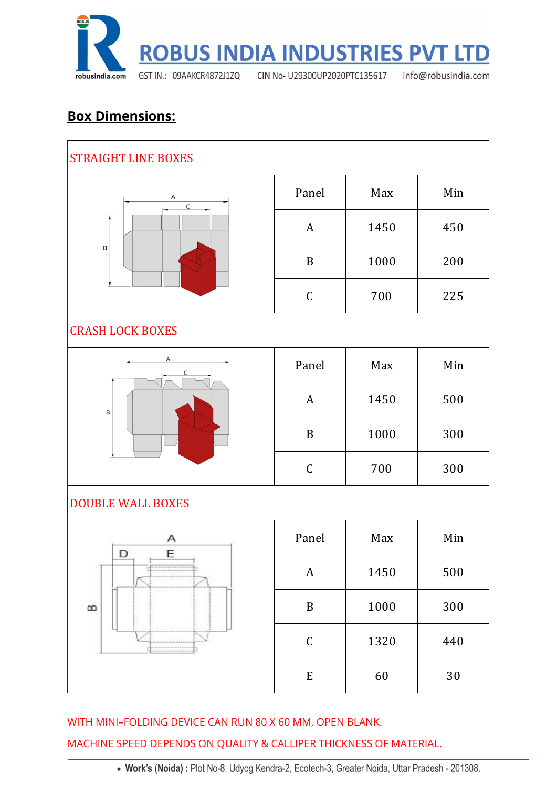

#### **Box Dimensions:**

| <b>STRAIGHT LINE BOXES</b>              |                  |      |        |  |
|-----------------------------------------|------------------|------|--------|--|
| Α<br>$\overline{\mathsf{C}}$<br>$\sf B$ | Panel            | Max  | Min    |  |
|                                         | $\boldsymbol{A}$ | 1450 | 450    |  |
|                                         | $\mathbf B$      | 1000 | 200    |  |
|                                         | $\mathsf C$      | 700  | 225    |  |
| <b>CRASH LOCK BOXES</b>                 |                  |      |        |  |
| Α<br>B                                  | Panel            | Max  | Min    |  |
|                                         | $\boldsymbol{A}$ | 1450 | 500    |  |
|                                         | $\, {\bf B}$     | 1000 | 300    |  |
|                                         | $\mathsf C$      | 700  | 300    |  |
| <b>DOUBLE WALL BOXES</b>                |                  |      |        |  |
| Α<br>D<br>Ε<br>B                        | Panel            | Max  | Min    |  |
|                                         | $\boldsymbol{A}$ | 1450 | 500    |  |
|                                         | $\, {\bf B}$     | 1000 | 300    |  |
|                                         | $\mathsf C$      | 1320 | 440    |  |
|                                         | ${\bf E}$        | 60   | $30\,$ |  |

WITH MINI–FOLDING DEVICE CAN RUN 80 X 60 MM, OPEN BLANK.

MACHINE SPEED DEPENDS ON QUALITY & CALLIPER THICKNESS OF MATERIAL.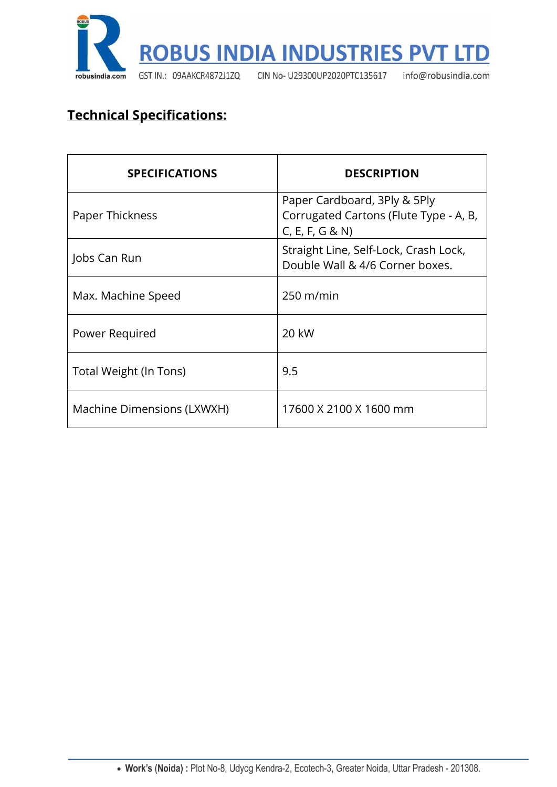

# **Technical Specifications:**

| <b>SPECIFICATIONS</b>      | <b>DESCRIPTION</b>                                                                        |  |
|----------------------------|-------------------------------------------------------------------------------------------|--|
| Paper Thickness            | Paper Cardboard, 3Ply & 5Ply<br>Corrugated Cartons (Flute Type - A, B,<br>C, E, F, G & N) |  |
| Jobs Can Run               | Straight Line, Self-Lock, Crash Lock,<br>Double Wall & 4/6 Corner boxes.                  |  |
| Max. Machine Speed         | $250 \text{ m/min}$                                                                       |  |
| Power Required             | 20 kW                                                                                     |  |
| Total Weight (In Tons)     | 9.5                                                                                       |  |
| Machine Dimensions (LXWXH) | 17600 X 2100 X 1600 mm                                                                    |  |